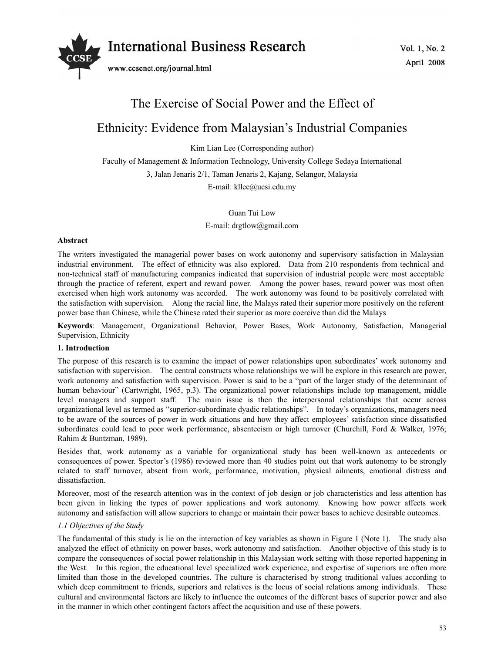

# The Exercise of Social Power and the Effect of

# Ethnicity: Evidence from Malaysian's Industrial Companies

Kim Lian Lee (Corresponding author)

Faculty of Management & Information Technology, University College Sedaya International

3, Jalan Jenaris 2/1, Taman Jenaris 2, Kajang, Selangor, Malaysia

E-mail: kllee@ucsi.edu.my

Guan Tui Low E-mail: drgtlow@gmail.com

# **Abstract**

The writers investigated the managerial power bases on work autonomy and supervisory satisfaction in Malaysian industrial environment. The effect of ethnicity was also explored. Data from 210 respondents from technical and non-technical staff of manufacturing companies indicated that supervision of industrial people were most acceptable through the practice of referent, expert and reward power. Among the power bases, reward power was most often exercised when high work autonomy was accorded. The work autonomy was found to be positively correlated with the satisfaction with supervision. Along the racial line, the Malays rated their superior more positively on the referent power base than Chinese, while the Chinese rated their superior as more coercive than did the Malays

**Keywords**: Management, Organizational Behavior, Power Bases, Work Autonomy, Satisfaction, Managerial Supervision, Ethnicity

#### **1. Introduction**

The purpose of this research is to examine the impact of power relationships upon subordinates' work autonomy and satisfaction with supervision. The central constructs whose relationships we will be explore in this research are power, work autonomy and satisfaction with supervision. Power is said to be a "part of the larger study of the determinant of human behaviour" (Cartwright, 1965, p.3). The organizational power relationships include top management, middle level managers and support staff. The main issue is then the interpersonal relationships that occur across organizational level as termed as "superior-subordinate dyadic relationships". In today's organizations, managers need to be aware of the sources of power in work situations and how they affect employees' satisfaction since dissatisfied subordinates could lead to poor work performance, absenteeism or high turnover (Churchill, Ford & Walker, 1976; Rahim & Buntzman, 1989).

Besides that, work autonomy as a variable for organizational study has been well-known as antecedents or consequences of power. Spector's (1986) reviewed more than 40 studies point out that work autonomy to be strongly related to staff turnover, absent from work, performance, motivation, physical ailments, emotional distress and dissatisfaction.

Moreover, most of the research attention was in the context of job design or job characteristics and less attention has been given in linking the types of power applications and work autonomy. Knowing how power affects work autonomy and satisfaction will allow superiors to change or maintain their power bases to achieve desirable outcomes.

#### *1.1 Objectives of the Study*

The fundamental of this study is lie on the interaction of key variables as shown in Figure 1 (Note 1). The study also analyzed the effect of ethnicity on power bases, work autonomy and satisfaction. Another objective of this study is to compare the consequences of social power relationship in this Malaysian work setting with those reported happening in the West. In this region, the educational level specialized work experience, and expertise of superiors are often more limited than those in the developed countries. The culture is characterised by strong traditional values according to which deep commitment to friends, superiors and relatives is the locus of social relations among individuals. These cultural and environmental factors are likely to influence the outcomes of the different bases of superior power and also in the manner in which other contingent factors affect the acquisition and use of these powers.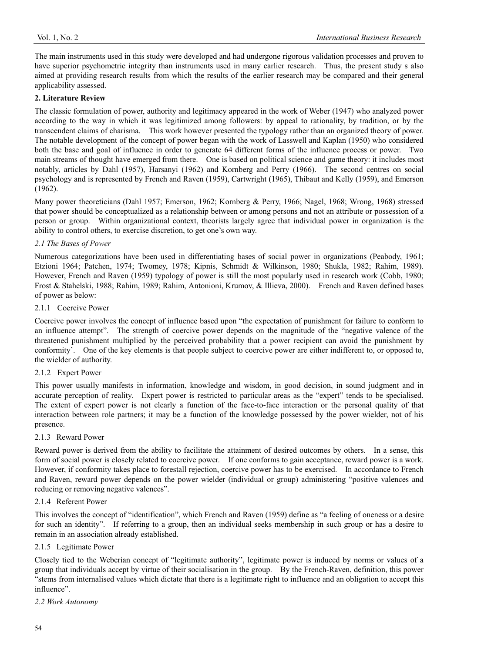The main instruments used in this study were developed and had undergone rigorous validation processes and proven to have superior psychometric integrity than instruments used in many earlier research. Thus, the present study s also aimed at providing research results from which the results of the earlier research may be compared and their general applicability assessed.

# **2. Literature Review**

The classic formulation of power, authority and legitimacy appeared in the work of Weber (1947) who analyzed power according to the way in which it was legitimized among followers: by appeal to rationality, by tradition, or by the transcendent claims of charisma. This work however presented the typology rather than an organized theory of power. The notable development of the concept of power began with the work of Lasswell and Kaplan (1950) who considered both the base and goal of influence in order to generate 64 different forms of the influence process or power. Two main streams of thought have emerged from there. One is based on political science and game theory: it includes most notably, articles by Dahl (1957), Harsanyi (1962) and Kornberg and Perry (1966). The second centres on social psychology and is represented by French and Raven (1959), Cartwright (1965), Thibaut and Kelly (1959), and Emerson (1962).

Many power theoreticians (Dahl 1957; Emerson, 1962; Kornberg & Perry, 1966; Nagel, 1968; Wrong, 1968) stressed that power should be conceptualized as a relationship between or among persons and not an attribute or possession of a person or group. Within organizational context, theorists largely agree that individual power in organization is the ability to control others, to exercise discretion, to get one's own way.

# *2.1 The Bases of Power*

Numerous categorizations have been used in differentiating bases of social power in organizations (Peabody, 1961; Etzioni 1964; Patchen, 1974; Twomey, 1978; Kipnis, Schmidt & Wilkinson, 1980; Shukla, 1982; Rahim, 1989). However, French and Raven (1959) typology of power is still the most popularly used in research work (Cobb, 1980; Frost & Stahelski, 1988; Rahim, 1989; Rahim, Antonioni, Krumov, & Illieva, 2000). French and Raven defined bases of power as below:

# 2.1.1 Coercive Power

Coercive power involves the concept of influence based upon "the expectation of punishment for failure to conform to an influence attempt". The strength of coercive power depends on the magnitude of the "negative valence of the threatened punishment multiplied by the perceived probability that a power recipient can avoid the punishment by conformity'. One of the key elements is that people subject to coercive power are either indifferent to, or opposed to, the wielder of authority.

# 2.1.2 Expert Power

This power usually manifests in information, knowledge and wisdom, in good decision, in sound judgment and in accurate perception of reality. Expert power is restricted to particular areas as the "expert" tends to be specialised. The extent of expert power is not clearly a function of the face-to-face interaction or the personal quality of that interaction between role partners; it may be a function of the knowledge possessed by the power wielder, not of his presence.

#### 2.1.3 Reward Power

Reward power is derived from the ability to facilitate the attainment of desired outcomes by others. In a sense, this form of social power is closely related to coercive power. If one conforms to gain acceptance, reward power is a work. However, if conformity takes place to forestall rejection, coercive power has to be exercised. In accordance to French and Raven, reward power depends on the power wielder (individual or group) administering "positive valences and reducing or removing negative valences".

# 2.1.4 Referent Power

This involves the concept of "identification", which French and Raven (1959) define as "a feeling of oneness or a desire for such an identity". If referring to a group, then an individual seeks membership in such group or has a desire to remain in an association already established.

# 2.1.5 Legitimate Power

Closely tied to the Weberian concept of "legitimate authority", legitimate power is induced by norms or values of a group that individuals accept by virtue of their socialisation in the group. By the French-Raven, definition, this power "stems from internalised values which dictate that there is a legitimate right to influence and an obligation to accept this influence".

*2.2 Work Autonomy*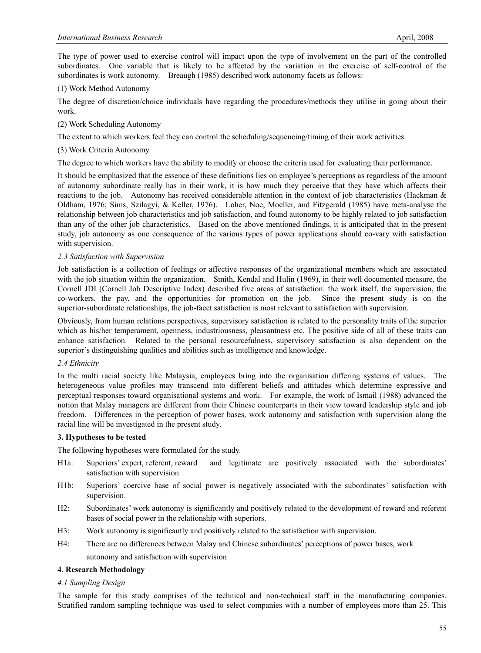The type of power used to exercise control will impact upon the type of involvement on the part of the controlled subordinates. One variable that is likely to be affected by the variation in the exercise of self-control of the subordinates is work autonomy. Breaugh (1985) described work autonomy facets as follows:

# (1) Work Method Autonomy

The degree of discretion/choice individuals have regarding the procedures/methods they utilise in going about their work.

(2) Work Scheduling Autonomy

The extent to which workers feel they can control the scheduling/sequencing/timing of their work activities.

# (3) Work Criteria Autonomy

The degree to which workers have the ability to modify or choose the criteria used for evaluating their performance.

It should be emphasized that the essence of these definitions lies on employee's perceptions as regardless of the amount of autonomy subordinate really has in their work, it is how much they perceive that they have which affects their reactions to the job. Autonomy has received considerable attention in the context of job characteristics (Hackman & Oldham, 1976; Sims, Szilagyi, & Keller, 1976). Loher, Noe, Moeller, and Fitzgerald (1985) have meta-analyse the relationship between job characteristics and job satisfaction, and found autonomy to be highly related to job satisfaction than any of the other job characteristics. Based on the above mentioned findings, it is anticipated that in the present study, job autonomy as one consequence of the various types of power applications should co-vary with satisfaction with supervision.

# *2.3 Satisfaction with Supervision*

Job satisfaction is a collection of feelings or affective responses of the organizational members which are associated with the job situation within the organization. Smith, Kendal and Hulin (1969), in their well documented measure, the Cornell JDI (Cornell Job Descriptive Index) described five areas of satisfaction: the work itself, the supervision, the co-workers, the pay, and the opportunities for promotion on the job. Since the present study is on the superior-subordinate relationships, the job-facet satisfaction is most relevant to satisfaction with supervision.

Obviously, from human relations perspectives, supervisory satisfaction is related to the personality traits of the superior which as his/her temperament, openness, industriousness, pleasantness etc. The positive side of all of these traits can enhance satisfaction. Related to the personal resourcefulness, supervisory satisfaction is also dependent on the superior's distinguishing qualities and abilities such as intelligence and knowledge.

# *2.4 Ethnicity*

In the multi racial society like Malaysia, employees bring into the organisation differing systems of values. The heterogeneous value profiles may transcend into different beliefs and attitudes which determine expressive and perceptual responses toward organisational systems and work. For example, the work of Ismail (1988) advanced the notion that Malay managers are different from their Chinese counterparts in their view toward leadership style and job freedom. Differences in the perception of power bases, work autonomy and satisfaction with supervision along the racial line will be investigated in the present study.

#### **3. Hypotheses to be tested**

The following hypotheses were formulated for the study.

- H1a: Superiors' expert, referent, reward and legitimate are positively associated with the subordinates' satisfaction with supervision
- H1b: Superiors' coercive base of social power is negatively associated with the subordinates' satisfaction with supervision.
- H2: Subordinates' work autonomy is significantly and positively related to the development of reward and referent bases of social power in the relationship with superiors.
- H3: Work autonomy is significantly and positively related to the satisfaction with supervision.
- H4: There are no differences between Malay and Chinese subordinates' perceptions of power bases, work autonomy and satisfaction with supervision

# **4. Research Methodology**

#### *4.1 Sampling Design*

The sample for this study comprises of the technical and non-technical staff in the manufacturing companies. Stratified random sampling technique was used to select companies with a number of employees more than 25. This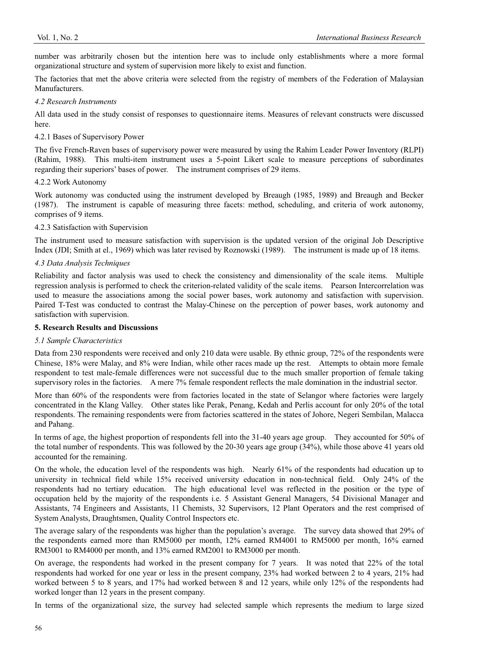number was arbitrarily chosen but the intention here was to include only establishments where a more formal organizational structure and system of supervision more likely to exist and function.

The factories that met the above criteria were selected from the registry of members of the Federation of Malaysian Manufacturers.

#### *4.2 Research Instruments*

All data used in the study consist of responses to questionnaire items. Measures of relevant constructs were discussed here.

### 4.2.1 Bases of Supervisory Power

The five French-Raven bases of supervisory power were measured by using the Rahim Leader Power Inventory (RLPI) (Rahim, 1988). This multi-item instrument uses a 5-point Likert scale to measure perceptions of subordinates regarding their superiors' bases of power. The instrument comprises of 29 items.

#### 4.2.2 Work Autonomy

Work autonomy was conducted using the instrument developed by Breaugh (1985, 1989) and Breaugh and Becker (1987). The instrument is capable of measuring three facets: method, scheduling, and criteria of work autonomy, comprises of 9 items.

#### 4.2.3 Satisfaction with Supervision

The instrument used to measure satisfaction with supervision is the updated version of the original Job Descriptive Index (JDI; Smith at el., 1969) which was later revised by Roznowski (1989). The instrument is made up of 18 items.

#### *4.3 Data Analysis Techniques*

Reliability and factor analysis was used to check the consistency and dimensionality of the scale items. Multiple regression analysis is performed to check the criterion-related validity of the scale items. Pearson Intercorrelation was used to measure the associations among the social power bases, work autonomy and satisfaction with supervision. Paired T-Test was conducted to contrast the Malay-Chinese on the perception of power bases, work autonomy and satisfaction with supervision.

#### **5. Research Results and Discussions**

#### *5.1 Sample Characteristics*

Data from 230 respondents were received and only 210 data were usable. By ethnic group, 72% of the respondents were Chinese, 18% were Malay, and 8% were Indian, while other races made up the rest. Attempts to obtain more female respondent to test male-female differences were not successful due to the much smaller proportion of female taking supervisory roles in the factories. A mere 7% female respondent reflects the male domination in the industrial sector.

More than 60% of the respondents were from factories located in the state of Selangor where factories were largely concentrated in the Klang Valley. Other states like Perak, Penang, Kedah and Perlis account for only 20% of the total respondents. The remaining respondents were from factories scattered in the states of Johore, Negeri Sembilan, Malacca and Pahang.

In terms of age, the highest proportion of respondents fell into the 31-40 years age group. They accounted for 50% of the total number of respondents. This was followed by the 20-30 years age group (34%), while those above 41 years old accounted for the remaining.

On the whole, the education level of the respondents was high. Nearly 61% of the respondents had education up to university in technical field while 15% received university education in non-technical field. Only 24% of the respondents had no tertiary education. The high educational level was reflected in the position or the type of occupation held by the majority of the respondents i.e. 5 Assistant General Managers, 54 Divisional Manager and Assistants, 74 Engineers and Assistants, 11 Chemists, 32 Supervisors, 12 Plant Operators and the rest comprised of System Analysts, Draughtsmen, Quality Control Inspectors etc.

The average salary of the respondents was higher than the population's average. The survey data showed that 29% of the respondents earned more than RM5000 per month, 12% earned RM4001 to RM5000 per month, 16% earned RM3001 to RM4000 per month, and 13% earned RM2001 to RM3000 per month.

On average, the respondents had worked in the present company for 7 years. It was noted that 22% of the total respondents had worked for one year or less in the present company, 23% had worked between 2 to 4 years, 21% had worked between 5 to 8 years, and 17% had worked between 8 and 12 years, while only 12% of the respondents had worked longer than 12 years in the present company.

In terms of the organizational size, the survey had selected sample which represents the medium to large sized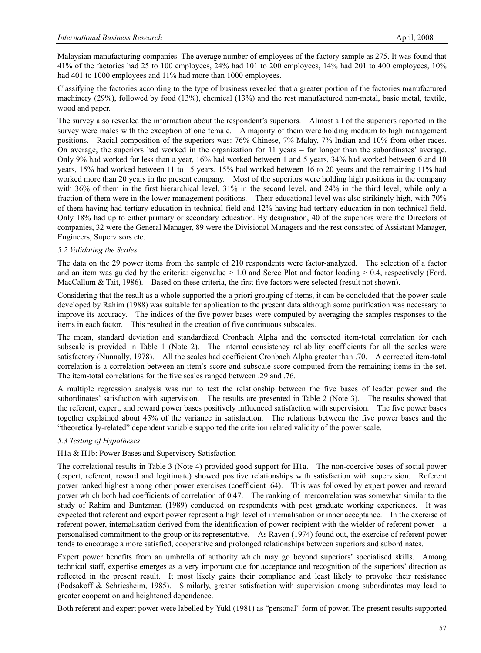Malaysian manufacturing companies. The average number of employees of the factory sample as 275. It was found that 41% of the factories had 25 to 100 employees, 24% had 101 to 200 employees, 14% had 201 to 400 employees, 10% had 401 to 1000 employees and 11% had more than 1000 employees.

Classifying the factories according to the type of business revealed that a greater portion of the factories manufactured machinery (29%), followed by food (13%), chemical (13%) and the rest manufactured non-metal, basic metal, textile, wood and paper.

The survey also revealed the information about the respondent's superiors. Almost all of the superiors reported in the survey were males with the exception of one female. A majority of them were holding medium to high management positions. Racial composition of the superiors was: 76% Chinese, 7% Malay, 7% Indian and 10% from other races. On average, the superiors had worked in the organization for 11 years – far longer than the subordinates' average. Only 9% had worked for less than a year, 16% had worked between 1 and 5 years, 34% had worked between 6 and 10 years, 15% had worked between 11 to 15 years, 15% had worked between 16 to 20 years and the remaining 11% had worked more than 20 years in the present company. Most of the superiors were holding high positions in the company with 36% of them in the first hierarchical level, 31% in the second level, and 24% in the third level, while only a fraction of them were in the lower management positions. Their educational level was also strikingly high, with 70% of them having had tertiary education in technical field and 12% having had tertiary education in non-technical field. Only 18% had up to either primary or secondary education. By designation, 40 of the superiors were the Directors of companies, 32 were the General Manager, 89 were the Divisional Managers and the rest consisted of Assistant Manager, Engineers, Supervisors etc.

# *5.2 Validating the Scales*

The data on the 29 power items from the sample of 210 respondents were factor-analyzed. The selection of a factor and an item was guided by the criteria: eigenvalue  $> 1.0$  and Scree Plot and factor loading  $> 0.4$ , respectively (Ford, MacCallum & Tait, 1986). Based on these criteria, the first five factors were selected (result not shown).

Considering that the result as a whole supported the a priori grouping of items, it can be concluded that the power scale developed by Rahim (1988) was suitable for application to the present data although some purification was necessary to improve its accuracy. The indices of the five power bases were computed by averaging the samples responses to the items in each factor. This resulted in the creation of five continuous subscales.

The mean, standard deviation and standardized Cronbach Alpha and the corrected item-total correlation for each subscale is provided in Table 1 (Note 2). The internal consistency reliability coefficients for all the scales were satisfactory (Nunnally, 1978). All the scales had coefficient Cronbach Alpha greater than .70. A corrected item-total correlation is a correlation between an item's score and subscale score computed from the remaining items in the set. The item-total correlations for the five scales ranged between .29 and .76.

A multiple regression analysis was run to test the relationship between the five bases of leader power and the subordinates' satisfaction with supervision. The results are presented in Table 2 (Note 3). The results showed that the referent, expert, and reward power bases positively influenced satisfaction with supervision. The five power bases together explained about 45% of the variance in satisfaction. The relations between the five power bases and the "theoretically-related" dependent variable supported the criterion related validity of the power scale.

#### *5.3 Testing of Hypotheses*

# H1a & H1b: Power Bases and Supervisory Satisfaction

The correlational results in Table 3 (Note 4) provided good support for H1a. The non-coercive bases of social power (expert, referent, reward and legitimate) showed positive relationships with satisfaction with supervision. Referent power ranked highest among other power exercises (coefficient .64). This was followed by expert power and reward power which both had coefficients of correlation of 0.47. The ranking of intercorrelation was somewhat similar to the study of Rahim and Buntzman (1989) conducted on respondents with post graduate working experiences. It was expected that referent and expert power represent a high level of internalisation or inner acceptance. In the exercise of referent power, internalisation derived from the identification of power recipient with the wielder of referent power – a personalised commitment to the group or its representative. As Raven (1974) found out, the exercise of referent power tends to encourage a more satisfied, cooperative and prolonged relationships between superiors and subordinates.

Expert power benefits from an umbrella of authority which may go beyond superiors' specialised skills. Among technical staff, expertise emerges as a very important cue for acceptance and recognition of the superiors' direction as reflected in the present result. It most likely gains their compliance and least likely to provoke their resistance (Podsakoff & Schriesheim, 1985). Similarly, greater satisfaction with supervision among subordinates may lead to greater cooperation and heightened dependence.

Both referent and expert power were labelled by Yukl (1981) as "personal" form of power. The present results supported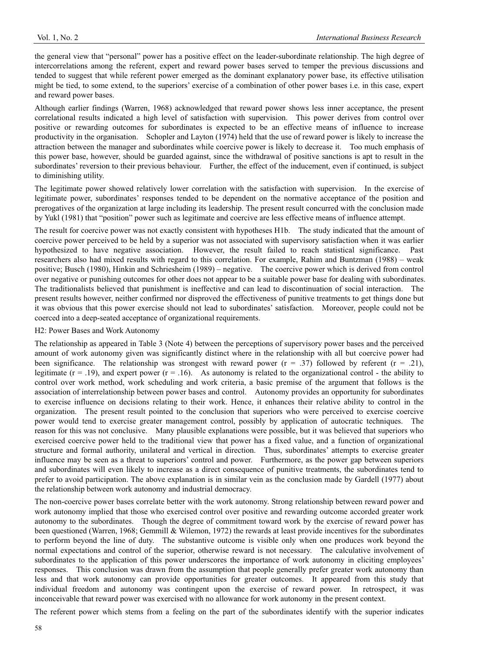the general view that "personal" power has a positive effect on the leader-subordinate relationship. The high degree of intercorrelations among the referent, expert and reward power bases served to temper the previous discussions and tended to suggest that while referent power emerged as the dominant explanatory power base, its effective utilisation might be tied, to some extend, to the superiors' exercise of a combination of other power bases i.e. in this case, expert and reward power bases.

Although earlier findings (Warren, 1968) acknowledged that reward power shows less inner acceptance, the present correlational results indicated a high level of satisfaction with supervision. This power derives from control over positive or rewarding outcomes for subordinates is expected to be an effective means of influence to increase productivity in the organisation. Schopler and Layton (1974) held that the use of reward power is likely to increase the attraction between the manager and subordinates while coercive power is likely to decrease it. Too much emphasis of this power base, however, should be guarded against, since the withdrawal of positive sanctions is apt to result in the subordinates' reversion to their previous behaviour. Further, the effect of the inducement, even if continued, is subject to diminishing utility.

The legitimate power showed relatively lower correlation with the satisfaction with supervision. In the exercise of legitimate power, subordinates' responses tended to be dependent on the normative acceptance of the position and prerogatives of the organization at large including its leadership. The present result concurred with the conclusion made by Yukl (1981) that "position" power such as legitimate and coercive are less effective means of influence attempt.

The result for coercive power was not exactly consistent with hypotheses H1b. The study indicated that the amount of coercive power perceived to be held by a superior was not associated with supervisory satisfaction when it was earlier hypothesized to have negative association. However, the result failed to reach statistical significance. Past researchers also had mixed results with regard to this correlation. For example, Rahim and Buntzman (1988) – weak positive; Busch (1980), Hinkin and Schriesheim (1989) – negative. The coercive power which is derived from control over negative or punishing outcomes for other does not appear to be a suitable power base for dealing with subordinates. The traditionalists believed that punishment is ineffective and can lead to discontinuation of social interaction. The present results however, neither confirmed nor disproved the effectiveness of punitive treatments to get things done but it was obvious that this power exercise should not lead to subordinates' satisfaction. Moreover, people could not be coerced into a deep-seated acceptance of organizational requirements.

#### H2: Power Bases and Work Autonomy

The relationship as appeared in Table 3 (Note 4) between the perceptions of supervisory power bases and the perceived amount of work autonomy given was significantly distinct where in the relationship with all but coercive power had been significance. The relationship was strongest with reward power  $(r = .37)$  followed by referent  $(r = .21)$ , legitimate  $(r = .19)$ , and expert power  $(r = .16)$ . As autonomy is related to the organizational control - the ability to control over work method, work scheduling and work criteria, a basic premise of the argument that follows is the association of interrelationship between power bases and control. Autonomy provides an opportunity for subordinates to exercise influence on decisions relating to their work. Hence, it enhances their relative ability to control in the organization. The present result pointed to the conclusion that superiors who were perceived to exercise coercive power would tend to exercise greater management control, possibly by application of autocratic techniques. The reason for this was not conclusive. Many plausible explanations were possible, but it was believed that superiors who exercised coercive power held to the traditional view that power has a fixed value, and a function of organizational structure and formal authority, unilateral and vertical in direction. Thus, subordinates' attempts to exercise greater influence may be seen as a threat to superiors' control and power. Furthermore, as the power gap between superiors and subordinates will even likely to increase as a direct consequence of punitive treatments, the subordinates tend to prefer to avoid participation. The above explanation is in similar vein as the conclusion made by Gardell (1977) about the relationship between work autonomy and industrial democracy.

The non-coercive power bases correlate better with the work autonomy. Strong relationship between reward power and work autonomy implied that those who exercised control over positive and rewarding outcome accorded greater work autonomy to the subordinates. Though the degree of commitment toward work by the exercise of reward power has been questioned (Warren, 1968; Gemmill & Wilemon, 1972) the rewards at least provide incentives for the subordinates to perform beyond the line of duty. The substantive outcome is visible only when one produces work beyond the normal expectations and control of the superior, otherwise reward is not necessary. The calculative involvement of subordinates to the application of this power underscores the importance of work autonomy in eliciting employees' responses. This conclusion was drawn from the assumption that people generally prefer greater work autonomy than less and that work autonomy can provide opportunities for greater outcomes. It appeared from this study that individual freedom and autonomy was contingent upon the exercise of reward power. In retrospect, it was inconceivable that reward power was exercised with no allowance for work autonomy in the present context.

The referent power which stems from a feeling on the part of the subordinates identify with the superior indicates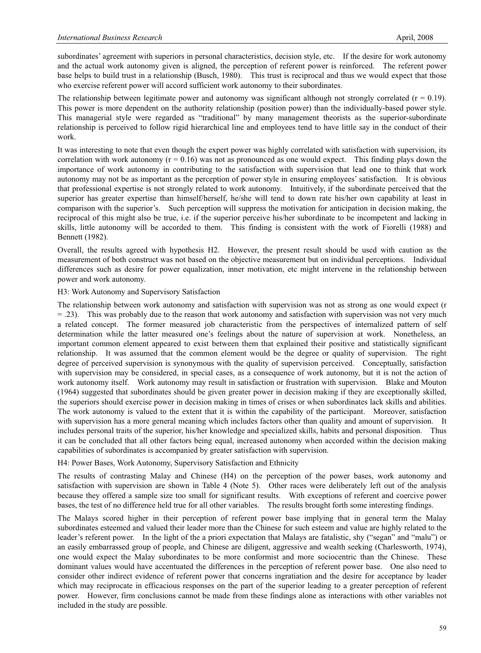subordinates' agreement with superiors in personal characteristics, decision style, etc. If the desire for work autonomy and the actual work autonomy given is aligned, the perception of referent power is reinforced. The referent power base helps to build trust in a relationship (Busch, 1980). This trust is reciprocal and thus we would expect that those who exercise referent power will accord sufficient work autonomy to their subordinates.

The relationship between legitimate power and autonomy was significant although not strongly correlated  $(r = 0.19)$ . This power is more dependent on the authority relationship (position power) than the individually-based power style. This managerial style were regarded as "traditional" by many management theorists as the superior-subordinate relationship is perceived to follow rigid hierarchical line and employees tend to have little say in the conduct of their work.

It was interesting to note that even though the expert power was highly correlated with satisfaction with supervision, its correlation with work autonomy  $(r = 0.16)$  was not as pronounced as one would expect. This finding plays down the importance of work autonomy in contributing to the satisfaction with supervision that lead one to think that work autonomy may not be as important as the perception of power style in ensuring employees' satisfaction. It is obvious that professional expertise is not strongly related to work autonomy. Intuitively, if the subordinate perceived that the superior has greater expertise than himself/herself, he/she will tend to down rate his/her own capability at least in comparison with the superior's. Such perception will suppress the motivation for anticipation in decision making, the reciprocal of this might also be true, i.e. if the superior perceive his/her subordinate to be incompetent and lacking in skills, little autonomy will be accorded to them. This finding is consistent with the work of Fiorelli (1988) and Bennett (1982).

Overall, the results agreed with hypothesis H2. However, the present result should be used with caution as the measurement of both construct was not based on the objective measurement but on individual perceptions. Individual differences such as desire for power equalization, inner motivation, etc might intervene in the relationship between power and work autonomy.

#### H3: Work Autonomy and Supervisory Satisfaction

The relationship between work autonomy and satisfaction with supervision was not as strong as one would expect (r  $=$  .23). This was probably due to the reason that work autonomy and satisfaction with supervision was not very much a related concept. The former measured job characteristic from the perspectives of internalized pattern of self determination while the latter measured one's feelings about the nature of supervision at work. Nonetheless, an important common element appeared to exist between them that explained their positive and statistically significant relationship. It was assumed that the common element would be the degree or quality of supervision. The right degree of perceived supervision is synonymous with the quality of supervision perceived. Conceptually, satisfaction with supervision may be considered, in special cases, as a consequence of work autonomy, but it is not the action of work autonomy itself. Work autonomy may result in satisfaction or frustration with supervision. Blake and Mouton (1964) suggested that subordinates should be given greater power in decision making if they are exceptionally skilled, the superiors should exercise power in decision making in times of crises or when subordinates lack skills and abilities. The work autonomy is valued to the extent that it is within the capability of the participant. Moreover, satisfaction with supervision has a more general meaning which includes factors other than quality and amount of supervision. It includes personal traits of the superior, his/her knowledge and specialized skills, habits and personal disposition. Thus it can be concluded that all other factors being equal, increased autonomy when accorded within the decision making capabilities of subordinates is accompanied by greater satisfaction with supervision.

# H4: Power Bases, Work Autonomy, Supervisory Satisfaction and Ethnicity

The results of contrasting Malay and Chinese (H4) on the perception of the power bases, work autonomy and satisfaction with supervision are shown in Table 4 (Note 5). Other races were deliberately left out of the analysis because they offered a sample size too small for significant results. With exceptions of referent and coercive power bases, the test of no difference held true for all other variables. The results brought forth some interesting findings.

The Malays scored higher in their perception of referent power base implying that in general term the Malay subordinates esteemed and valued their leader more than the Chinese for such esteem and value are highly related to the leader's referent power. In the light of the a priori expectation that Malays are fatalistic, shy ("segan" and "malu") or an easily embarrassed group of people, and Chinese are diligent, aggressive and wealth seeking (Charlesworth, 1974), one would expect the Malay subordinates to be more conformist and more sociocentric than the Chinese. These dominant values would have accentuated the differences in the perception of referent power base. One also need to consider other indirect evidence of referent power that concerns ingratiation and the desire for acceptance by leader which may reciprocate in efficacious responses on the part of the superior leading to a greater perception of referent power. However, firm conclusions cannot be made from these findings alone as interactions with other variables not included in the study are possible.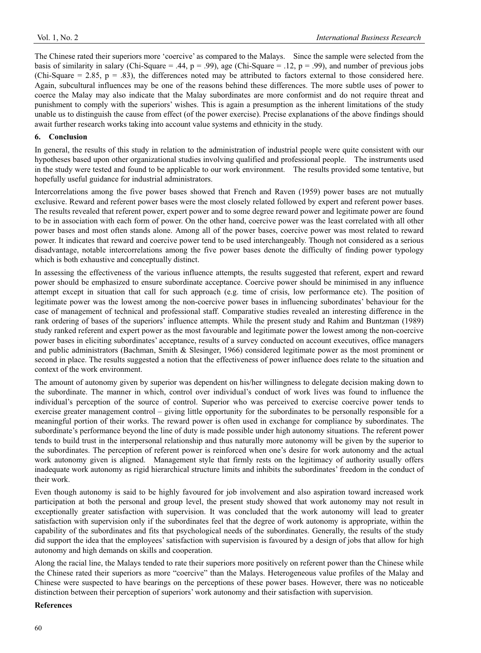The Chinese rated their superiors more 'coercive' as compared to the Malays. Since the sample were selected from the basis of similarity in salary (Chi-Square = .44,  $p = .99$ ), age (Chi-Square = .12,  $p = .99$ ), and number of previous jobs (Chi-Square = 2.85,  $p = .83$ ), the differences noted may be attributed to factors external to those considered here. Again, subcultural influences may be one of the reasons behind these differences. The more subtle uses of power to coerce the Malay may also indicate that the Malay subordinates are more conformist and do not require threat and punishment to comply with the superiors' wishes. This is again a presumption as the inherent limitations of the study unable us to distinguish the cause from effect (of the power exercise). Precise explanations of the above findings should await further research works taking into account value systems and ethnicity in the study.

# **6. Conclusion**

In general, the results of this study in relation to the administration of industrial people were quite consistent with our hypotheses based upon other organizational studies involving qualified and professional people. The instruments used in the study were tested and found to be applicable to our work environment. The results provided some tentative, but hopefully useful guidance for industrial administrators.

Intercorrelations among the five power bases showed that French and Raven (1959) power bases are not mutually exclusive. Reward and referent power bases were the most closely related followed by expert and referent power bases. The results revealed that referent power, expert power and to some degree reward power and legitimate power are found to be in association with each form of power. On the other hand, coercive power was the least correlated with all other power bases and most often stands alone. Among all of the power bases, coercive power was most related to reward power. It indicates that reward and coercive power tend to be used interchangeably. Though not considered as a serious disadvantage, notable intercorrelations among the five power bases denote the difficulty of finding power typology which is both exhaustive and conceptually distinct.

In assessing the effectiveness of the various influence attempts, the results suggested that referent, expert and reward power should be emphasized to ensure subordinate acceptance. Coercive power should be minimised in any influence attempt except in situation that call for such approach (e.g. time of crisis, low performance etc). The position of legitimate power was the lowest among the non-coercive power bases in influencing subordinates' behaviour for the case of management of technical and professional staff. Comparative studies revealed an interesting difference in the rank ordering of bases of the superiors' influence attempts. While the present study and Rahim and Buntzman (1989) study ranked referent and expert power as the most favourable and legitimate power the lowest among the non-coercive power bases in eliciting subordinates' acceptance, results of a survey conducted on account executives, office managers and public administrators (Bachman, Smith & Slesinger, 1966) considered legitimate power as the most prominent or second in place. The results suggested a notion that the effectiveness of power influence does relate to the situation and context of the work environment.

The amount of autonomy given by superior was dependent on his/her willingness to delegate decision making down to the subordinate. The manner in which, control over individual's conduct of work lives was found to influence the individual's perception of the source of control. Superior who was perceived to exercise coercive power tends to exercise greater management control – giving little opportunity for the subordinates to be personally responsible for a meaningful portion of their works. The reward power is often used in exchange for compliance by subordinates. The subordinate's performance beyond the line of duty is made possible under high autonomy situations. The referent power tends to build trust in the interpersonal relationship and thus naturally more autonomy will be given by the superior to the subordinates. The perception of referent power is reinforced when one's desire for work autonomy and the actual work autonomy given is aligned. Management style that firmly rests on the legitimacy of authority usually offers inadequate work autonomy as rigid hierarchical structure limits and inhibits the subordinates' freedom in the conduct of their work.

Even though autonomy is said to be highly favoured for job involvement and also aspiration toward increased work participation at both the personal and group level, the present study showed that work autonomy may not result in exceptionally greater satisfaction with supervision. It was concluded that the work autonomy will lead to greater satisfaction with supervision only if the subordinates feel that the degree of work autonomy is appropriate, within the capability of the subordinates and fits that psychological needs of the subordinates. Generally, the results of the study did support the idea that the employees' satisfaction with supervision is favoured by a design of jobs that allow for high autonomy and high demands on skills and cooperation.

Along the racial line, the Malays tended to rate their superiors more positively on referent power than the Chinese while the Chinese rated their superiors as more "coercive" than the Malays. Heterogeneous value profiles of the Malay and Chinese were suspected to have bearings on the perceptions of these power bases. However, there was no noticeable distinction between their perception of superiors' work autonomy and their satisfaction with supervision.

#### **References**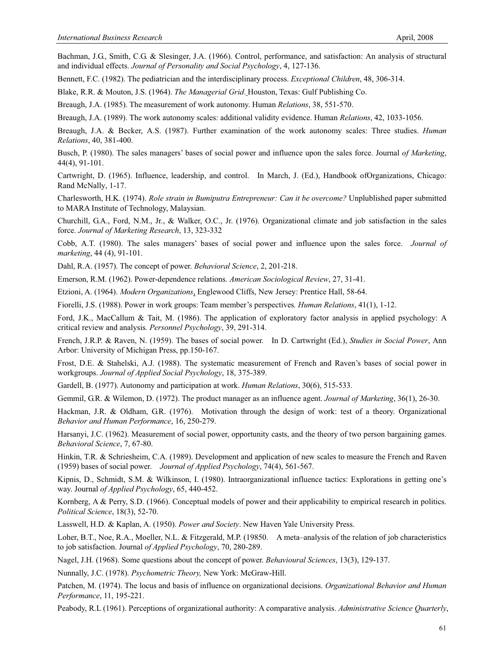Bachman, J.G., Smith, C.G. & Slesinger, J.A. (1966). Control, performance, and satisfaction: An analysis of structural and individual effects. *Journal of Personality and Social Psychology*, 4, 127-136.

Bennett, F.C. (1982). The pediatrician and the interdisciplinary process. *Exceptional Children*, 48, 306-314.

Blake, R.R. & Mouton, J.S. (1964). *The Managerial Grid*. Houston, Texas: Gulf Publishing Co.

Breaugh, J.A. (1985). The measurement of work autonomy. Human *Relations*, 38, 551-570.

Breaugh, J.A. (1989). The work autonomy scales: additional validity evidence. Human *Relations*, 42, 1033-1056.

Breaugh, J.A. & Becker, A.S. (1987). Further examination of the work autonomy scales: Three studies. *Human Relations*, 40, 381-400.

Busch, P. (1980). The sales managers' bases of social power and influence upon the sales force. Journal *of Marketing*, 44(4), 91-101.

Cartwright, D. (1965). Influence, leadership, and control. In March, J. (Ed.), Handbook ofOrganizations, Chicago: Rand McNally, 1-17.

Charlesworth, H.K. (1974). *Role strain in Bumiputra Entrepreneur: Can it be overcome?* Unplublished paper submitted to MARA Institute of Technology, Malaysian.

Churchill, G.A., Ford, N.M., Jr., & Walker, O.C., Jr. (1976). Organizational climate and job satisfaction in the sales force. *Journal of Marketing Research*, 13, 323-332

Cobb, A.T. (1980). The sales managers' bases of social power and influence upon the sales force. *Journal of marketing*, 44 (4), 91-101.

Dahl, R.A. (1957). The concept of power. *Behavioral Science*, 2, 201-218.

Emerson, R.M. (1962). Power-dependence relations. *American Sociological Review*, 27, 31-41.

Etzioni, A. (1964). *Modern Organizations*, Englewood Cliffs, New Jersey: Prentice Hall, 58-64.

Fiorelli, J.S. (1988). Power in work groups: Team member's perspectives*. Human Relations*, 41(1), 1-12.

Ford, J.K., MacCallum & Tait, M. (1986). The application of exploratory factor analysis in applied psychology: A critical review and analysis*. Personnel Psychology*, 39, 291-314.

French, J.R.P. & Raven, N. (1959). The bases of social power. In D. Cartwright (Ed.), *Studies in Social Power*, Ann Arbor: University of Michigan Press, pp.150-167.

Frost, D.E. & Stahelski, A.J. (1988). The systematic measurement of French and Raven's bases of social power in workgroups. *Journal of Applied Social Psychology*, 18, 375-389.

Gardell, B. (1977). Autonomy and participation at work. *Human Relations*, 30(6), 515-533.

Gemmil, G.R. & Wilemon, D. (1972). The product manager as an influence agent. *Journal of Marketing*, 36(1), 26-30.

Hackman, J.R. & Oldham, G.R. (1976). Motivation through the design of work: test of a theory. Organizational *Behavior and Human Performance*, 16, 250-279.

Harsanyi, J.C. (1962). Measurement of social power, opportunity casts, and the theory of two person bargaining games. *Behavioral Science*, 7, 67-80.

Hinkin, T.R. & Schriesheim, C.A. (1989). Development and application of new scales to measure the French and Raven (1959) bases of social power. *Journal of Applied Psychology*, 74(4), 561-567.

Kipnis, D., Schmidt, S.M. & Wilkinson, I. (1980). Intraorganizational influence tactics: Explorations in getting one's way. Journal *of Applied Psychology*, 65, 440-452.

Kornberg, A & Perry, S.D. (1966). Conceptual models of power and their applicability to empirical research in politics. *Political Science*, 18(3), 52-70.

Lasswell, H.D. & Kaplan, A. (1950). *Power and Society*. New Haven Yale University Press.

Loher, B.T., Noe, R.A., Moeller, N.L. & Fitzgerald, M.P. (19850. A meta–analysis of the relation of job characteristics to job satisfaction. Journal *of Applied Psychology*, 70, 280-289.

Nagel, J.H. (1968). Some questions about the concept of power. *Behavioural Sciences*, 13(3), 129-137.

Nunnally, J.C. (1978). *Psychometric Theory,* New York: McGraw-Hill.

Patchen, M. (1974). The locus and basis of influence on organizational decisions. *Organizational Behavior and Human Performance*, 11, 195-221.

Peabody, R.L (1961). Perceptions of organizational authority: A comparative analysis. *Administrative Science Quarterly*,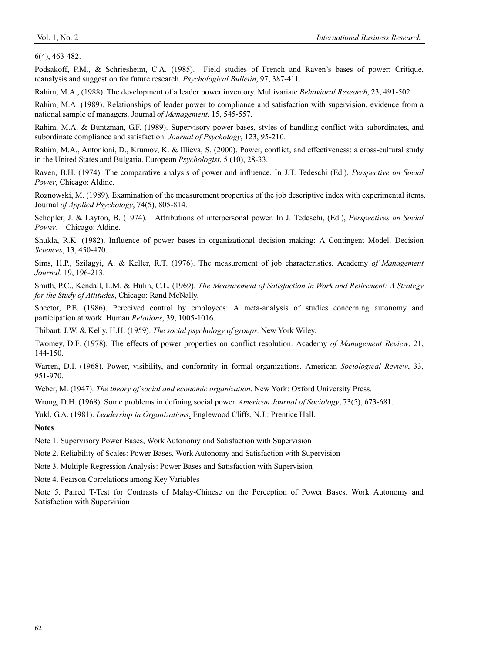6(4), 463-482.

Podsakoff, P.M., & Schriesheim, C.A. (1985). Field studies of French and Raven's bases of power: Critique, reanalysis and suggestion for future research. *Psychological Bulletin*, 97, 387-411.

Rahim, M.A., (1988). The development of a leader power inventory. Multivariate *Behavioral Research*, 23, 491-502.

Rahim, M.A. (1989). Relationships of leader power to compliance and satisfaction with supervision, evidence from a national sample of managers. Journal *of Management*. 15, 545-557.

Rahim, M.A. & Buntzman, G.F. (1989). Supervisory power bases, styles of handling conflict with subordinates, and subordinate compliance and satisfaction. *Journal of Psychology*, 123, 95-210.

Rahim, M.A., Antonioni, D., Krumov, K. & Illieva, S. (2000). Power, conflict, and effectiveness: a cross-cultural study in the United States and Bulgaria. European *Psychologist*, 5 (10), 28-33.

Raven, B.H. (1974). The comparative analysis of power and influence. In J.T. Tedeschi (Ed.), *Perspective on Social Power*, Chicago: Aldine.

Roznowski, M. (1989). Examination of the measurement properties of the job descriptive index with experimental items. Journal *of Applied Psychology*, 74(5), 805-814.

Schopler, J. & Layton, B. (1974). Attributions of interpersonal power. In J. Tedeschi, (Ed.), *Perspectives on Social Power*. Chicago: Aldine.

Shukla, R.K. (1982). Influence of power bases in organizational decision making: A Contingent Model. Decision *Sciences*, 13, 450-470.

Sims, H.P., Szilagyi, A. & Keller, R.T. (1976). The measurement of job characteristics. Academy *of Management Journal*, 19, 196-213.

Smith, P.C., Kendall, L.M. & Hulin, C.L. (1969). *The Measurement of Satisfaction in Work and Retirement: A Strategy for the Study of Attitudes*, Chicago: Rand McNally.

Spector, P.E. (1986). Perceived control by employees: A meta-analysis of studies concerning autonomy and participation at work. Human *Relations*, 39, 1005-1016.

Thibaut, J.W. & Kelly, H.H. (1959). *The social psychology of groups*. New York Wiley.

Twomey, D.F. (1978). The effects of power properties on conflict resolution. Academy *of Management Review*, 21, 144-150.

Warren, D.I. (1968). Power, visibility, and conformity in formal organizations. American *Sociological Review*, 33, 951-970.

Weber, M. (1947). *The theory of social and economic organization*. New York: Oxford University Press.

Wrong, D.H. (1968). Some problems in defining social power. *American Journal of Sociology*, 73(5), 673-681.

Yukl, G.A. (1981). *Leadership in Organizations*. Englewood Cliffs, N.J.: Prentice Hall.

**Notes** 

Note 1. Supervisory Power Bases, Work Autonomy and Satisfaction with Supervision

Note 2. Reliability of Scales: Power Bases, Work Autonomy and Satisfaction with Supervision

Note 3. Multiple Regression Analysis: Power Bases and Satisfaction with Supervision

Note 4. Pearson Correlations among Key Variables

Note 5. Paired T-Test for Contrasts of Malay-Chinese on the Perception of Power Bases, Work Autonomy and Satisfaction with Supervision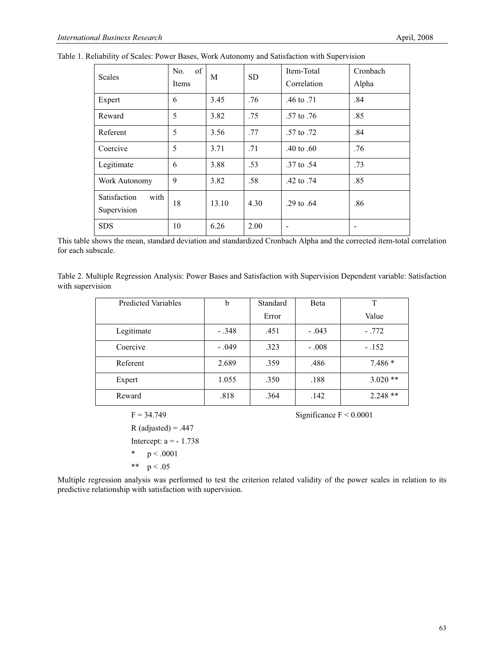| Scales                              | of<br>No.<br>Items | M     | <b>SD</b> | Item-Total<br>Correlation | Cronbach<br>Alpha |
|-------------------------------------|--------------------|-------|-----------|---------------------------|-------------------|
| Expert                              | 6                  | 3.45  | .76       | .46 to .71                | .84               |
| Reward                              | 5                  | 3.82  | .75       | .57 to .76                | .85               |
| Referent                            | 5                  | 3.56  | .77       | .57 to .72                | .84               |
| Coercive                            | 5                  | 3.71  | .71       | .40 to $.60$              | .76               |
| Legitimate                          | 6                  | 3.88  | .53       | .37 to .54                | .73               |
| Work Autonomy                       | 9                  | 3.82  | .58       | .42 to .74                | .85               |
| Satisfaction<br>with<br>Supervision | 18                 | 13.10 | 4.30      | .29 to $.64$              | .86               |
| <b>SDS</b>                          | 10                 | 6.26  | 2.00      |                           |                   |

Table 1. Reliability of Scales: Power Bases, Work Autonomy and Satisfaction with Supervision

This table shows the mean, standard deviation and standardized Cronbach Alpha and the corrected item-total correlation for each subscale.

Table 2. Multiple Regression Analysis: Power Bases and Satisfaction with Supervision Dependent variable: Satisfaction with supervision

| <b>Predicted Variables</b> | b       | Standard | <b>B</b> eta | т         |
|----------------------------|---------|----------|--------------|-----------|
|                            |         | Error    |              | Value     |
| Legitimate                 | $-.348$ | .451     | $-.043$      | $-.772$   |
| Coercive                   | $-.049$ | .323     | $-.008$      | $-.152$   |
| Referent                   | 2.689   | .359     | .486         | $7.486*$  |
| Expert                     | 1.055   | .350     | .188         | $3.020**$ |
| Reward                     | .818    | .364     | .142         | $2.248**$ |

R (adjusted) =  $.447$ Intercept:  $a = -1.738$  $*$  p < .0001 \*\*  $p < .05$ 

 $F = 34.749$  Significance  $F < 0.0001$ 

Multiple regression analysis was performed to test the criterion related validity of the power scales in relation to its predictive relationship with satisfaction with supervision.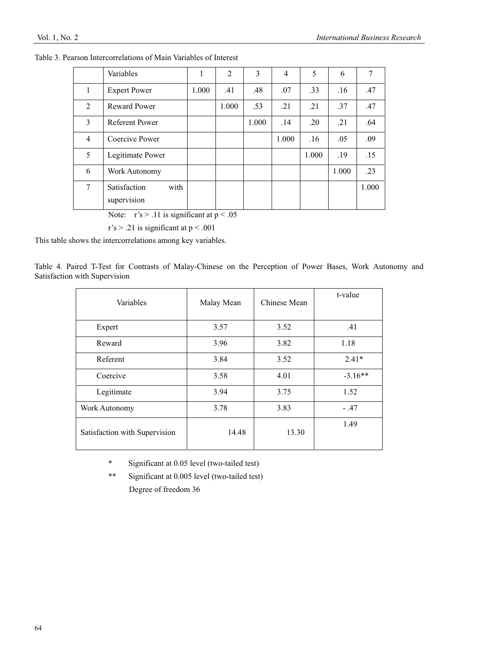|  |  |  | Table 3. Pearson Intercorrelations of Main Variables of Interest |
|--|--|--|------------------------------------------------------------------|
|--|--|--|------------------------------------------------------------------|

|                | Variables                              |                                                     | 2                    | 3     | $\overline{4}$ | 5     | 6     | 7     |
|----------------|----------------------------------------|-----------------------------------------------------|----------------------|-------|----------------|-------|-------|-------|
| 1              | <b>Expert Power</b>                    | 1.000                                               | .41                  | .48   | .07            | .33   | .16   | .47   |
| 2              | <b>Reward Power</b>                    |                                                     | 1.000                | .53   | .21            | .21   | .37   | .47   |
| 3              | <b>Referent Power</b>                  |                                                     |                      | 1.000 | .14            | .20   | .21   | .64   |
| $\overline{4}$ | Coercive Power                         |                                                     |                      |       | 1.000          | .16   | .05   | .09   |
| 5              | Legitimate Power                       |                                                     |                      |       |                | 1.000 | .19   | .15   |
| 6              | Work Autonomy                          |                                                     |                      |       |                |       | 1.000 | .23   |
| $\tau$         | Satisfaction<br>with<br>supervision    |                                                     |                      |       |                |       |       | 1.000 |
|                | $\mathbf{v}$ . The set of $\mathbf{v}$ | $\cdot$ $\sim$<br>the company's company's company's | $\sim$ $\sim$ $\sim$ |       |                |       |       |       |

Note:  $r's > .11$  is significant at  $p < .05$ 

 $r's > .21$  is significant at  $p < .001$ 

This table shows the intercorrelations among key variables.

Table 4. Paired T-Test for Contrasts of Malay-Chinese on the Perception of Power Bases, Work Autonomy and Satisfaction with Supervision

| Variables                     | Malay Mean | Chinese Mean | t-value   |
|-------------------------------|------------|--------------|-----------|
| Expert                        | 3.57       | 3.52         | .41       |
| Reward                        | 3.96       | 3.82         | 1.18      |
| Referent                      | 3.84       | 3.52         | $2.41*$   |
| Coercive                      | 3.58       | 4.01         | $-3.16**$ |
| Legitimate                    | 3.94       | 3.75         | 1.52      |
| Work Autonomy                 | 3.78       | 3.83         | $-.47$    |
| Satisfaction with Supervision | 14.48      | 13.30        | 1.49      |

\* Significant at 0.05 level (two-tailed test)

\*\* Significant at 0.005 level (two-tailed test) Degree of freedom 36